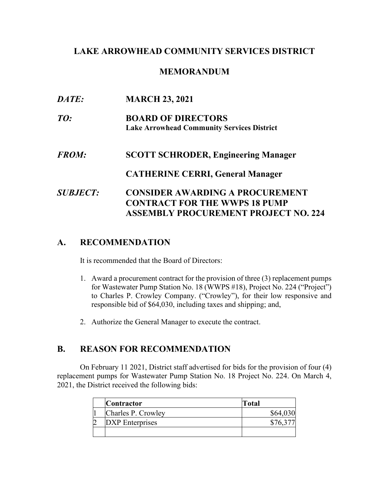### **LAKE ARROWHEAD COMMUNITY SERVICES DISTRICT**

### **MEMORANDUM**

| DATE:                  | <b>MARCH 23, 2021</b>                                                                                                  |
|------------------------|------------------------------------------------------------------------------------------------------------------------|
| TO:                    | <b>BOARD OF DIRECTORS</b><br><b>Lake Arrowhead Community Services District</b>                                         |
| <i><b>FROM:</b></i>    | <b>SCOTT SCHRODER, Engineering Manager</b>                                                                             |
|                        | <b>CATHERINE CERRI, General Manager</b>                                                                                |
| <i><b>SUBJECT:</b></i> | <b>CONSIDER AWARDING A PROCUREMENT</b><br><b>CONTRACT FOR THE WWPS 18 PUMP</b><br>ASSEMBLY PROCUREMENT PROJECT NO. 224 |

# **A. RECOMMENDATION**

It is recommended that the Board of Directors:

- 1. Award a procurement contract for the provision of three (3) replacement pumps for Wastewater Pump Station No. 18 (WWPS #18), Project No. 224 ("Project") to Charles P. Crowley Company. ("Crowley"), for their low responsive and responsible bid of \$64,030, including taxes and shipping; and,
- 2. Authorize the General Manager to execute the contract.

### **B. REASON FOR RECOMMENDATION**

On February 11 2021, District staff advertised for bids for the provision of four (4) replacement pumps for Wastewater Pump Station No. 18 Project No. 224. On March 4, 2021, the District received the following bids:

| <b>Contractor</b>      | <b>Total</b> |
|------------------------|--------------|
| Charles P. Crowley     | \$64,03      |
| <b>DXP</b> Enterprises |              |
|                        |              |